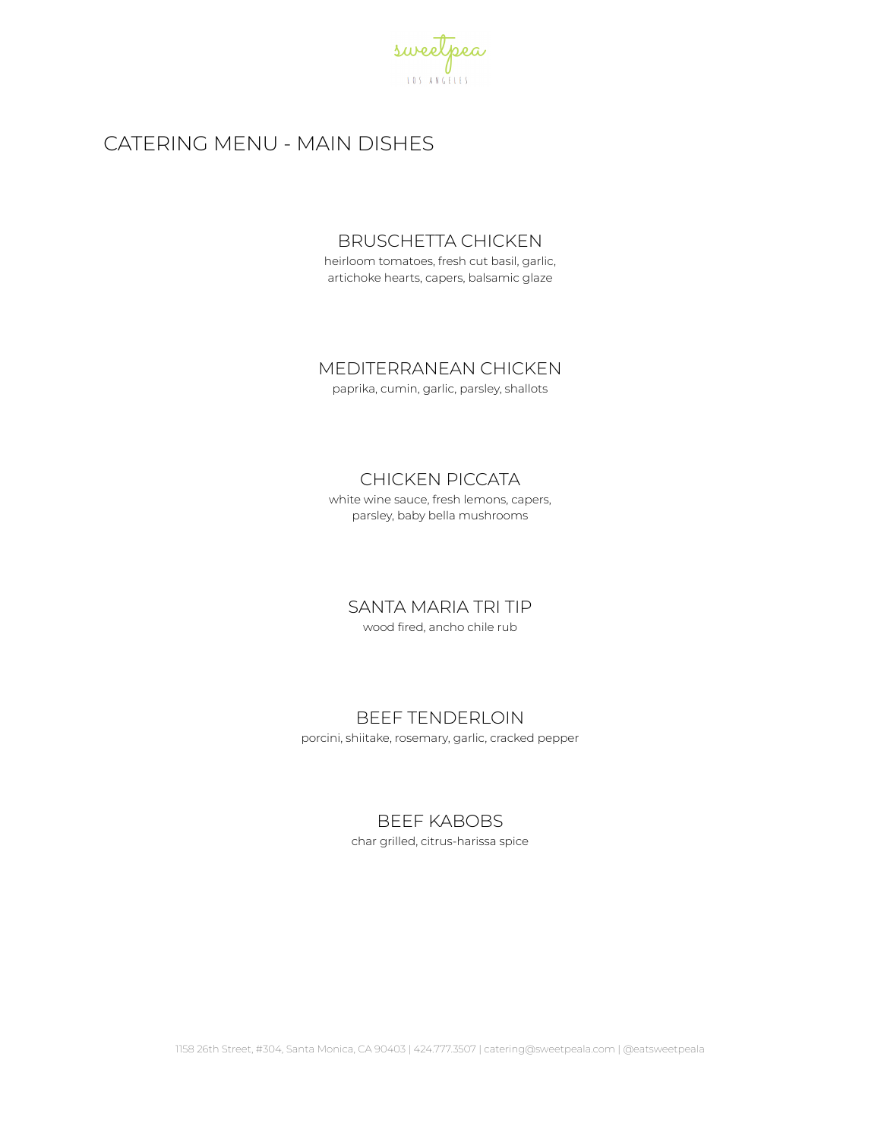

# CATERING MENU - MAIN DISHES

### BRUSCHETTA CHICKEN

heirloom tomatoes, fresh cut basil, garlic, artichoke hearts, capers, balsamic glaze

## MEDITERRANEAN CHICKEN

paprika, cumin, garlic, parsley, shallots

# CHICKEN PICCATA

white wine sauce, fresh lemons, capers, parsley, baby bella mushrooms

SANTA MARIA TRI TIP

wood fired, ancho chile rub

## BEEF TENDERLOIN

porcini, shiitake, rosemary, garlic, cracked pepper

## BEEF KABOBS

char grilled, citrus-harissa spice

1158 26th Street, #304, Santa Monica, CA 90403 | 424.777.3507 | catering@sweetpeala.com | @eatsweetpeala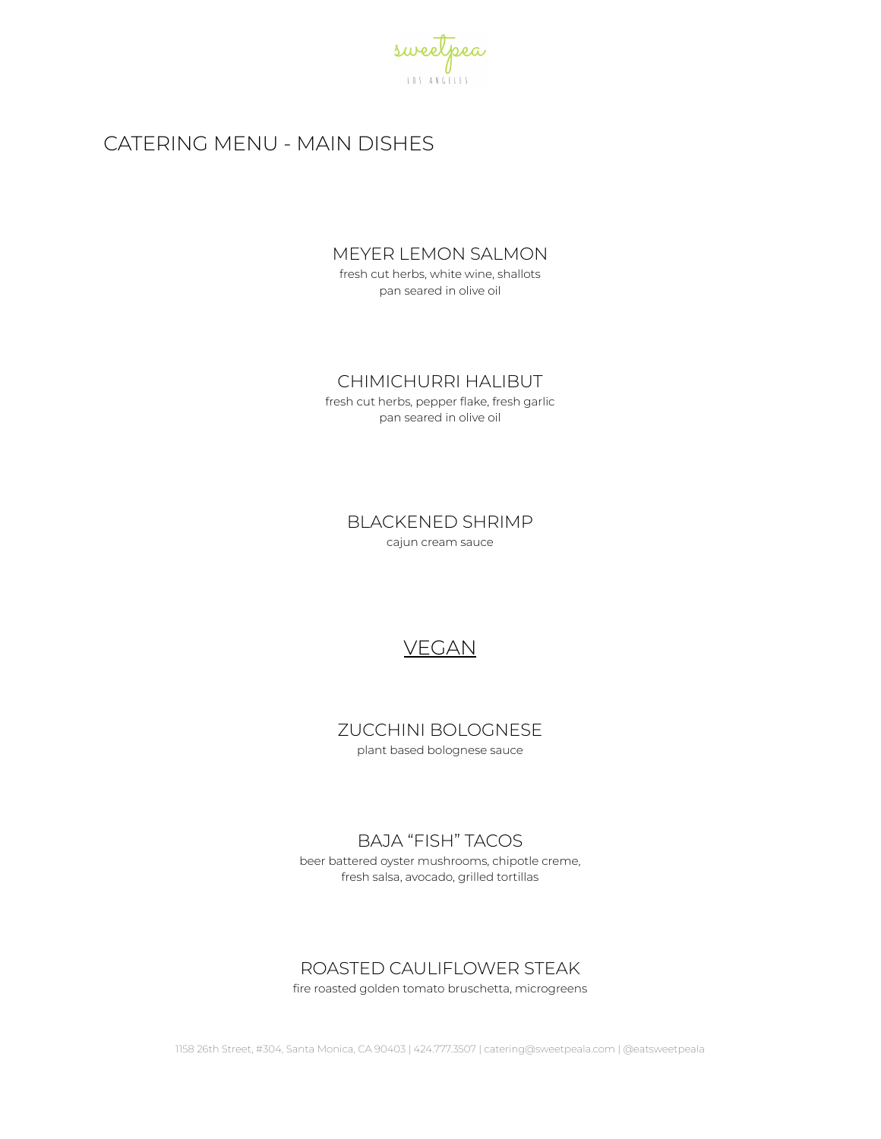

# CATERING MENU - MAIN DISHES

### MEYER LEMON SALMON

fresh cut herbs, white wine, shallots pan seared in olive oil

### CHIMICHURRI HALIBUT

fresh cut herbs, pepper flake, fresh garlic pan seared in olive oil

> BLACKENED SHRIMP cajun cream sauce

# VEGAN

ZUCCHINI BOLOGNESE plant based bolognese sauce

# BAJA "FISH" TACOS

beer battered oyster mushrooms, chipotle creme, fresh salsa, avocado, grilled tortillas

# ROASTED CAULIFLOWER STEAK

fire roasted golden tomato bruschetta, microgreens

1158 26th Street, #304, Santa Monica, CA 90403 | 424.777.3507 | catering@sweetpeala.com | @eatsweetpeala